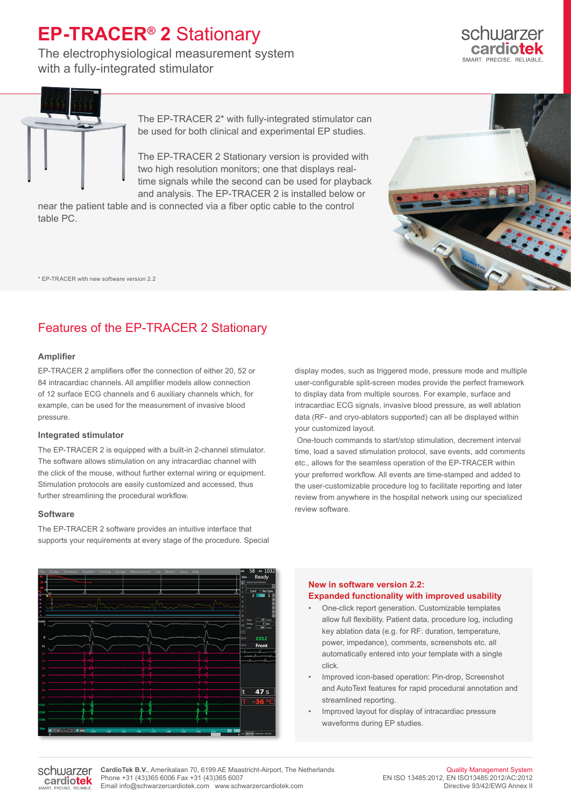## **EP-TRACER® 2** Stationary

The electrophysiological measurement system with a fully-integrated stimulator





The EP-TRACER 2\* with fully-integrated stimulator can be used for both clinical and experimental EP studies.

The EP-TRACER 2 Stationary version is provided with two high resolution monitors; one that displays realtime signals while the second can be used for playback and analysis. The EP-TRACER 2 is installed below or

near the patient table and is connected via a fiber optic cable to the control table PC.

\* EP-TRACER with new software version 2.2

### Features of the EP-TRACER 2 Stationary

#### **Amplifier**

EP-TRACER 2 amplifiers offer the connection of either 20, 52 or 84 intracardiac channels. All amplifier models allow connection of 12 surface ECG channels and 6 auxiliary channels which, for example, can be used for the measurement of invasive blood pressure.

#### **Integrated stimulator**

The EP-TRACER 2 is equipped with a built-in 2-channel stimulator. The software allows stimulation on any intracardiac channel with the click of the mouse, without further external wiring or equipment. Stimulation protocols are easily customized and accessed, thus further streamlining the procedural workflow.

#### **Software**

The EP-TRACER 2 software provides an intuitive interface that supports your requirements at every stage of the procedure. Special display modes, such as triggered mode, pressure mode and multiple user-configurable split-screen modes provide the perfect framework to display data from multiple sources. For example, surface and intracardiac ECG signals, invasive blood pressure, as well ablation data (RF- and cryo-ablators supported) can all be displayed within your customized layout.

 One-touch commands to start/stop stimulation, decrement interval time, load a saved stimulation protocol, save events, add comments etc., allows for the seamless operation of the EP-TRACER within your preferred workflow. All events are time-stamped and added to the user-customizable procedure log to facilitate reporting and later review from anywhere in the hospital network using our specialized review software.



#### **New in software version 2.2: Expanded functionality with improved usability**

- One-click report generation. Customizable templates allow full flexibility. Patient data, procedure log, including key ablation data (e.g. for RF: duration, temperature, power, impedance), comments, screenshots etc. all automatically entered into your template with a single click.
- Improved icon-based operation: Pin-drop, Screenshot and AutoText features for rapid procedural annotation and streamlined reporting.
- Improved layout for display of intracardiac pressure waveforms during EP studies.

schwarzer cardiotek